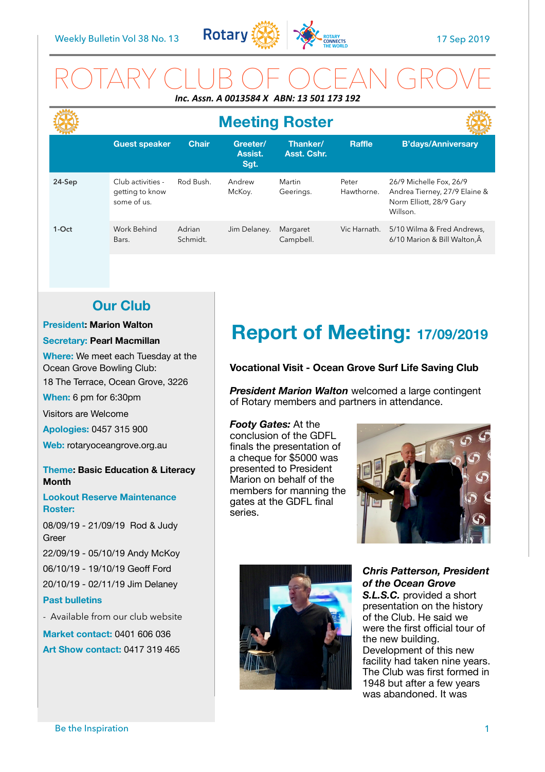

# ROTARY CLUB OF OCEAN GROVE *Inc. Assn. A 0013584 X ABN: 13 501 173 192*

|        | <b>Meeting Roster</b>                               |                    |                             |                         |                     |                                                                                                 |
|--------|-----------------------------------------------------|--------------------|-----------------------------|-------------------------|---------------------|-------------------------------------------------------------------------------------------------|
|        | <b>Guest speaker</b>                                | <b>Chair</b>       | Greeter/<br>Assist.<br>Sgt. | Thanker/<br>Asst. Cshr. | <b>Raffle</b>       | <b>B'days/Anniversary</b>                                                                       |
| 24-Sep | Club activities -<br>getting to know<br>some of us. | Rod Bush.          | Andrew<br>McKoy.            | Martin<br>Geerings.     | Peter<br>Hawthorne. | 26/9 Michelle Fox, 26/9<br>Andrea Tierney, 27/9 Elaine &<br>Norm Elliott, 28/9 Gary<br>Willson. |
| 1-Oct  | Work Behind<br>Bars.                                | Adrian<br>Schmidt. | Jim Delaney.                | Margaret<br>Campbell.   | Vic Harnath.        | 5/10 Wilma & Fred Andrews.<br>6/10 Marion & Bill Walton. Â                                      |

## **Our Club**

#### **President: Marion Walton**

#### **Secretary: Pearl Macmillan**

**Where:** We meet each Tuesday at the Ocean Grove Bowling Club:

18 The Terrace, Ocean Grove, 3226

**When:** 6 pm for 6:30pm

Visitors are Welcome

**Apologies:** 0457 315 900

**Web:** rotaryoceangrove.org.au

#### **Theme: Basic Education & Literacy Month**

**Lookout Reserve Maintenance Roster:** 

08/09/19 - 21/09/19 Rod & Judy Greer

22/09/19 - 05/10/19 Andy McKoy 06/10/19 - 19/10/19 Geoff Ford 20/10/19 - 02/11/19 Jim Delaney

#### **Past bulletins**

- Available from our club website

**Market contact:** 0401 606 036

**Art Show contact:** 0417 319 465

# **Report of Meeting: 17/09/2019**

#### **Vocational Visit - Ocean Grove Surf Life Saving Club**

*President Marion Walton* welcomed a large contingent of Rotary members and partners in attendance.

#### *Footy Gates:* At the

conclusion of the GDFL finals the presentation of a cheque for \$5000 was presented to President Marion on behalf of the members for manning the gates at the GDFL final series.





*Chris Patterson, President of the Ocean Grove* 

*S.L.S.C.* provided a short presentation on the history of the Club. He said we were the first official tour of the new building. Development of this new facility had taken nine years. The Club was first formed in 1948 but after a few years was abandoned. It was